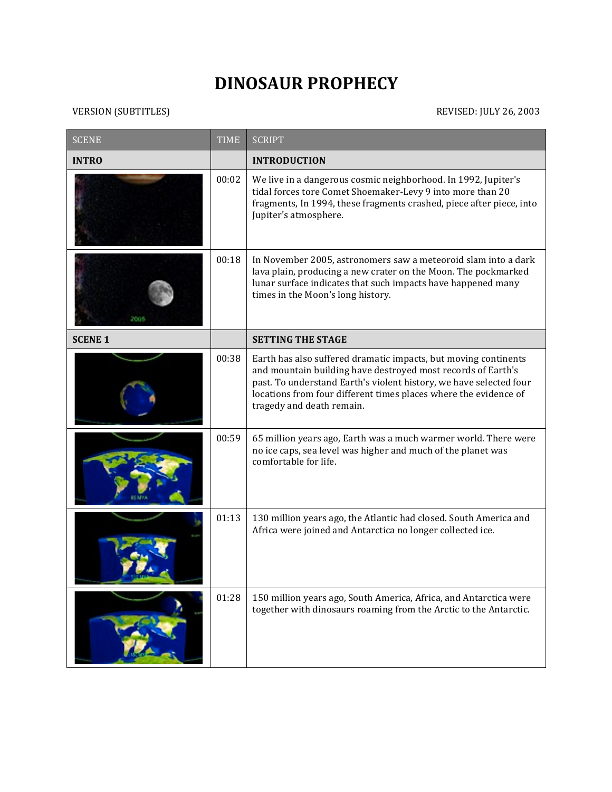## **DINOSAUR PROPHECY**

## VERSION (SUBTITLES) REVISED: JULY 26, 2003

| <b>SCENE</b>   | <b>TIME</b> | <b>SCRIPT</b>                                                                                                                                                                                                                                                                                          |
|----------------|-------------|--------------------------------------------------------------------------------------------------------------------------------------------------------------------------------------------------------------------------------------------------------------------------------------------------------|
| <b>INTRO</b>   |             | <b>INTRODUCTION</b>                                                                                                                                                                                                                                                                                    |
|                | 00:02       | We live in a dangerous cosmic neighborhood. In 1992, Jupiter's<br>tidal forces tore Comet Shoemaker-Levy 9 into more than 20<br>fragments, In 1994, these fragments crashed, piece after piece, into<br>Jupiter's atmosphere.                                                                          |
|                | 00:18       | In November 2005, astronomers saw a meteoroid slam into a dark<br>lava plain, producing a new crater on the Moon. The pockmarked<br>lunar surface indicates that such impacts have happened many<br>times in the Moon's long history.                                                                  |
| <b>SCENE 1</b> |             | <b>SETTING THE STAGE</b>                                                                                                                                                                                                                                                                               |
|                | 00:38       | Earth has also suffered dramatic impacts, but moving continents<br>and mountain building have destroyed most records of Earth's<br>past. To understand Earth's violent history, we have selected four<br>locations from four different times places where the evidence of<br>tragedy and death remain. |
|                | 00:59       | 65 million years ago, Earth was a much warmer world. There were<br>no ice caps, sea level was higher and much of the planet was<br>comfortable for life.                                                                                                                                               |
|                | 01:13       | 130 million years ago, the Atlantic had closed. South America and<br>Africa were joined and Antarctica no longer collected ice.                                                                                                                                                                        |
|                | 01:28       | 150 million years ago, South America, Africa, and Antarctica were<br>together with dinosaurs roaming from the Arctic to the Antarctic.                                                                                                                                                                 |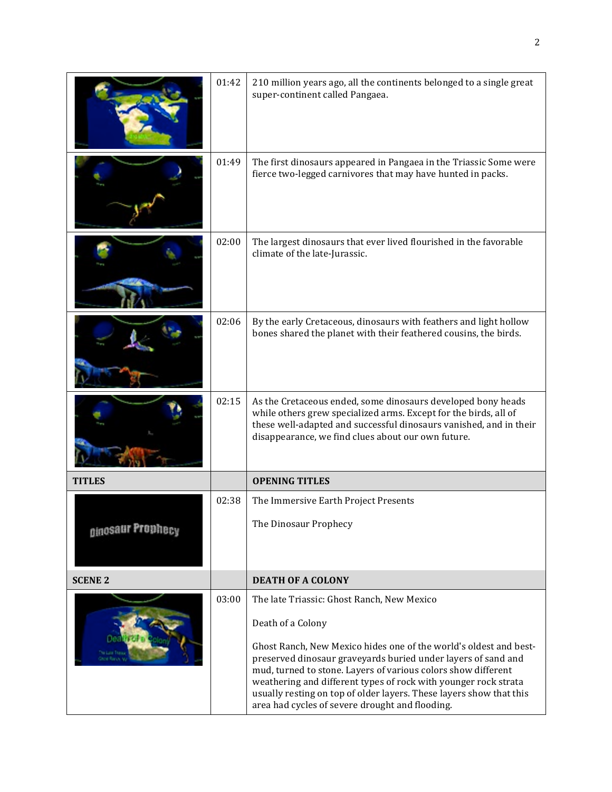|                              | 01:42 | 210 million years ago, all the continents belonged to a single great<br>super-continent called Pangaea.                                                                                                                                                                                                                                                                                          |
|------------------------------|-------|--------------------------------------------------------------------------------------------------------------------------------------------------------------------------------------------------------------------------------------------------------------------------------------------------------------------------------------------------------------------------------------------------|
|                              | 01:49 | The first dinosaurs appeared in Pangaea in the Triassic Some were<br>fierce two-legged carnivores that may have hunted in packs.                                                                                                                                                                                                                                                                 |
|                              | 02:00 | The largest dinosaurs that ever lived flourished in the favorable<br>climate of the late-Jurassic.                                                                                                                                                                                                                                                                                               |
|                              | 02:06 | By the early Cretaceous, dinosaurs with feathers and light hollow<br>bones shared the planet with their feathered cousins, the birds.                                                                                                                                                                                                                                                            |
|                              | 02:15 | As the Cretaceous ended, some dinosaurs developed bony heads<br>while others grew specialized arms. Except for the birds, all of<br>these well-adapted and successful dinosaurs vanished, and in their<br>disappearance, we find clues about our own future.                                                                                                                                     |
| <b>TITLES</b>                |       | <b>OPENING TITLES</b>                                                                                                                                                                                                                                                                                                                                                                            |
|                              | 02:38 | The Immersive Earth Project Presents                                                                                                                                                                                                                                                                                                                                                             |
| <sub>Oinosaur Prophecy</sub> |       | The Dinosaur Prophecy                                                                                                                                                                                                                                                                                                                                                                            |
| <b>SCENE 2</b>               |       | <b>DEATH OF A COLONY</b>                                                                                                                                                                                                                                                                                                                                                                         |
|                              | 03:00 | The late Triassic: Ghost Ranch, New Mexico                                                                                                                                                                                                                                                                                                                                                       |
|                              |       | Death of a Colony                                                                                                                                                                                                                                                                                                                                                                                |
|                              |       | Ghost Ranch, New Mexico hides one of the world's oldest and best-<br>preserved dinosaur graveyards buried under layers of sand and<br>mud, turned to stone. Layers of various colors show different<br>weathering and different types of rock with younger rock strata<br>usually resting on top of older layers. These layers show that this<br>area had cycles of severe drought and flooding. |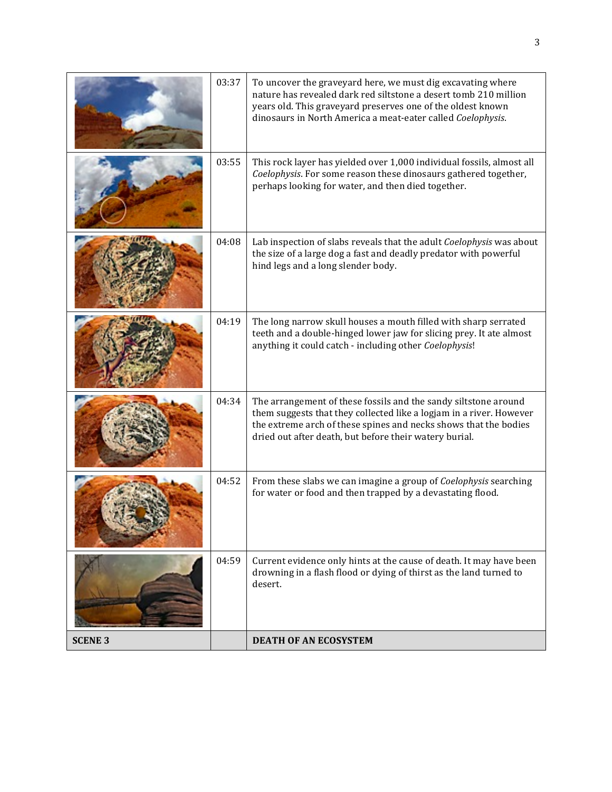|                | 03:37 | To uncover the graveyard here, we must dig excavating where<br>nature has revealed dark red siltstone a desert tomb 210 million<br>years old. This graveyard preserves one of the oldest known<br>dinosaurs in North America a meat-eater called Coelophysis.        |
|----------------|-------|----------------------------------------------------------------------------------------------------------------------------------------------------------------------------------------------------------------------------------------------------------------------|
|                | 03:55 | This rock layer has yielded over 1,000 individual fossils, almost all<br>Coelophysis. For some reason these dinosaurs gathered together,<br>perhaps looking for water, and then died together.                                                                       |
|                | 04:08 | Lab inspection of slabs reveals that the adult Coelophysis was about<br>the size of a large dog a fast and deadly predator with powerful<br>hind legs and a long slender body.                                                                                       |
|                | 04:19 | The long narrow skull houses a mouth filled with sharp serrated<br>teeth and a double-hinged lower jaw for slicing prey. It ate almost<br>anything it could catch - including other Coelophysis!                                                                     |
|                | 04:34 | The arrangement of these fossils and the sandy siltstone around<br>them suggests that they collected like a logjam in a river. However<br>the extreme arch of these spines and necks shows that the bodies<br>dried out after death, but before their watery burial. |
|                | 04:52 | From these slabs we can imagine a group of Coelophysis searching<br>for water or food and then trapped by a devastating flood.                                                                                                                                       |
|                | 04:59 | Current evidence only hints at the cause of death. It may have been<br>drowning in a flash flood or dying of thirst as the land turned to<br>desert.                                                                                                                 |
| <b>SCENE 3</b> |       | <b>DEATH OF AN ECOSYSTEM</b>                                                                                                                                                                                                                                         |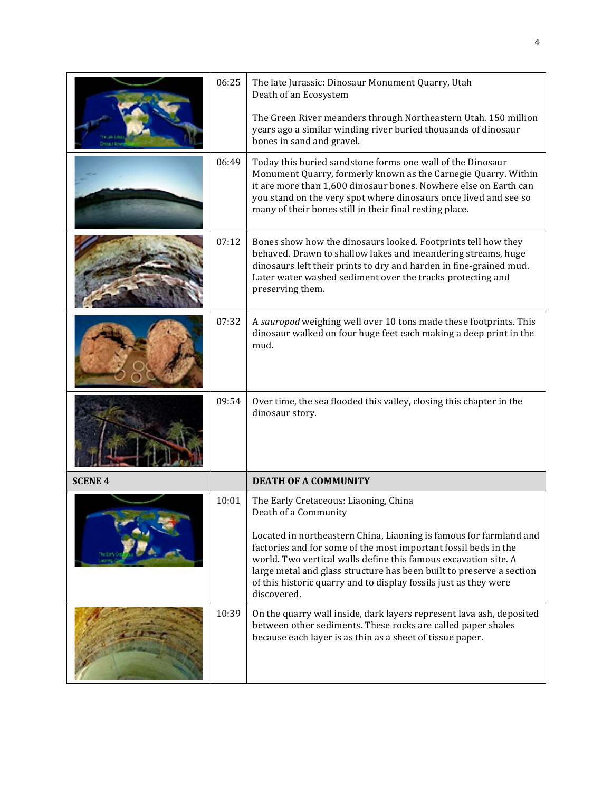|                | 06:25 | The late Jurassic: Dinosaur Monument Quarry, Utah<br>Death of an Ecosystem                                                                                                                                                                                                                                                                                          |
|----------------|-------|---------------------------------------------------------------------------------------------------------------------------------------------------------------------------------------------------------------------------------------------------------------------------------------------------------------------------------------------------------------------|
|                |       | The Green River meanders through Northeastern Utah. 150 million<br>years ago a similar winding river buried thousands of dinosaur<br>bones in sand and gravel.                                                                                                                                                                                                      |
|                | 06:49 | Today this buried sandstone forms one wall of the Dinosaur<br>Monument Quarry, formerly known as the Carnegie Quarry. Within<br>it are more than 1,600 dinosaur bones. Nowhere else on Earth can<br>you stand on the very spot where dinosaurs once lived and see so<br>many of their bones still in their final resting place.                                     |
|                | 07:12 | Bones show how the dinosaurs looked. Footprints tell how they<br>behaved. Drawn to shallow lakes and meandering streams, huge<br>dinosaurs left their prints to dry and harden in fine-grained mud.<br>Later water washed sediment over the tracks protecting and<br>preserving them.                                                                               |
|                | 07:32 | A sauropod weighing well over 10 tons made these footprints. This<br>dinosaur walked on four huge feet each making a deep print in the<br>mud.                                                                                                                                                                                                                      |
|                | 09:54 | Over time, the sea flooded this valley, closing this chapter in the<br>dinosaur story.                                                                                                                                                                                                                                                                              |
| <b>SCENE 4</b> |       | <b>DEATH OF A COMMUNITY</b>                                                                                                                                                                                                                                                                                                                                         |
|                | 10:01 | The Early Cretaceous: Liaoning, China<br>Death of a Community                                                                                                                                                                                                                                                                                                       |
|                |       | Located in northeastern China, Liaoning is famous for farmland and<br>factories and for some of the most important fossil beds in the<br>world. Two vertical walls define this famous excavation site. A<br>large metal and glass structure has been built to preserve a section<br>of this historic quarry and to display fossils just as they were<br>discovered. |
|                | 10:39 | On the quarry wall inside, dark layers represent lava ash, deposited<br>between other sediments. These rocks are called paper shales<br>because each layer is as thin as a sheet of tissue paper.                                                                                                                                                                   |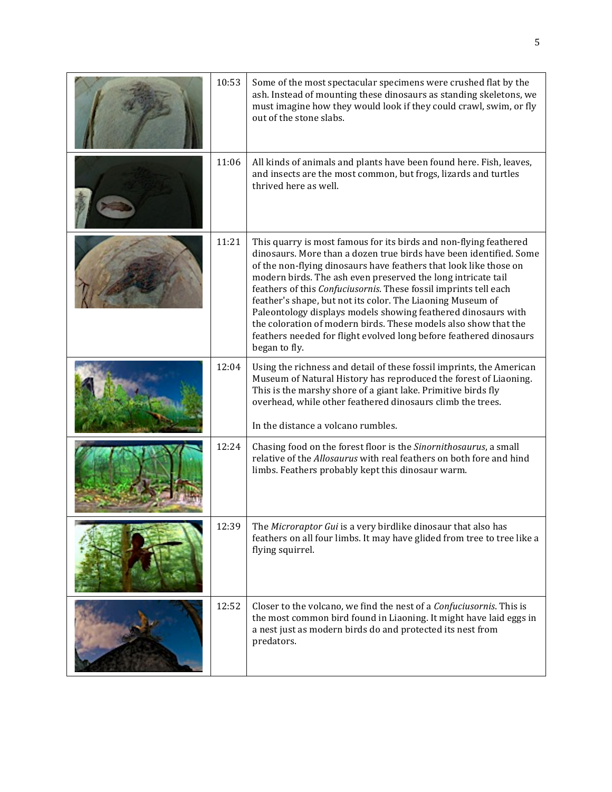| 10:53 | Some of the most spectacular specimens were crushed flat by the<br>ash. Instead of mounting these dinosaurs as standing skeletons, we<br>must imagine how they would look if they could crawl, swim, or fly<br>out of the stone slabs.                                                                                                                                                                                                                                                                                                                                                                                                    |
|-------|-------------------------------------------------------------------------------------------------------------------------------------------------------------------------------------------------------------------------------------------------------------------------------------------------------------------------------------------------------------------------------------------------------------------------------------------------------------------------------------------------------------------------------------------------------------------------------------------------------------------------------------------|
| 11:06 | All kinds of animals and plants have been found here. Fish, leaves,<br>and insects are the most common, but frogs, lizards and turtles<br>thrived here as well.                                                                                                                                                                                                                                                                                                                                                                                                                                                                           |
| 11:21 | This quarry is most famous for its birds and non-flying feathered<br>dinosaurs. More than a dozen true birds have been identified. Some<br>of the non-flying dinosaurs have feathers that look like those on<br>modern birds. The ash even preserved the long intricate tail<br>feathers of this Confuciusornis. These fossil imprints tell each<br>feather's shape, but not its color. The Liaoning Museum of<br>Paleontology displays models showing feathered dinosaurs with<br>the coloration of modern birds. These models also show that the<br>feathers needed for flight evolved long before feathered dinosaurs<br>began to fly. |
| 12:04 | Using the richness and detail of these fossil imprints, the American<br>Museum of Natural History has reproduced the forest of Liaoning.<br>This is the marshy shore of a giant lake. Primitive birds fly<br>overhead, while other feathered dinosaurs climb the trees.<br>In the distance a volcano rumbles.                                                                                                                                                                                                                                                                                                                             |
| 12:24 | Chasing food on the forest floor is the Sinornithosaurus, a small<br>relative of the Allosaurus with real feathers on both fore and hind<br>limbs. Feathers probably kept this dinosaur warm.                                                                                                                                                                                                                                                                                                                                                                                                                                             |
| 12:39 | The Microraptor Gui is a very birdlike dinosaur that also has<br>feathers on all four limbs. It may have glided from tree to tree like a<br>flying squirrel.                                                                                                                                                                                                                                                                                                                                                                                                                                                                              |
| 12:52 | Closer to the volcano, we find the nest of a Confuciusornis. This is<br>the most common bird found in Liaoning. It might have laid eggs in<br>a nest just as modern birds do and protected its nest from<br>predators.                                                                                                                                                                                                                                                                                                                                                                                                                    |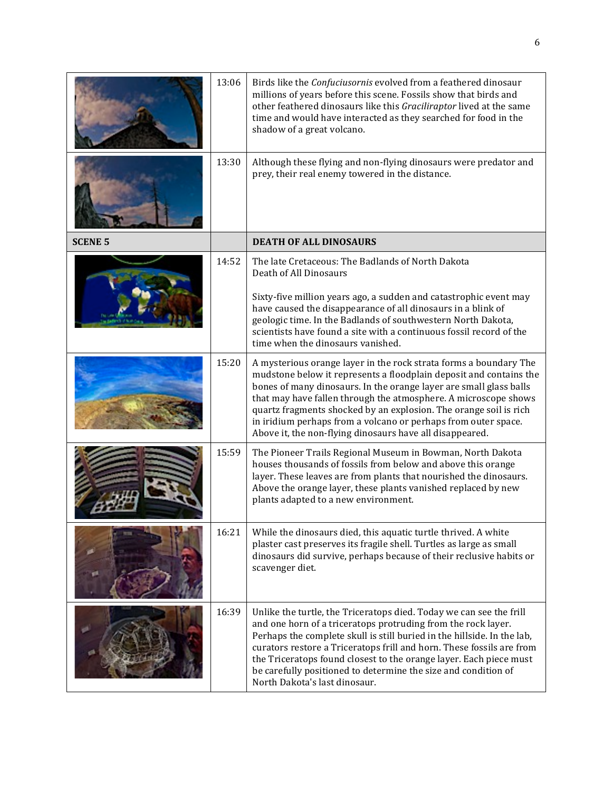|                | 13:06 | Birds like the Confuciusornis evolved from a feathered dinosaur<br>millions of years before this scene. Fossils show that birds and<br>other feathered dinosaurs like this Graciliraptor lived at the same<br>time and would have interacted as they searched for food in the<br>shadow of a great volcano.                                                                                                                                                                         |
|----------------|-------|-------------------------------------------------------------------------------------------------------------------------------------------------------------------------------------------------------------------------------------------------------------------------------------------------------------------------------------------------------------------------------------------------------------------------------------------------------------------------------------|
|                | 13:30 | Although these flying and non-flying dinosaurs were predator and<br>prey, their real enemy towered in the distance.                                                                                                                                                                                                                                                                                                                                                                 |
| <b>SCENE 5</b> |       | <b>DEATH OF ALL DINOSAURS</b>                                                                                                                                                                                                                                                                                                                                                                                                                                                       |
|                | 14:52 | The late Cretaceous: The Badlands of North Dakota<br>Death of All Dinosaurs<br>Sixty-five million years ago, a sudden and catastrophic event may                                                                                                                                                                                                                                                                                                                                    |
|                |       | have caused the disappearance of all dinosaurs in a blink of<br>geologic time. In the Badlands of southwestern North Dakota,<br>scientists have found a site with a continuous fossil record of the<br>time when the dinosaurs vanished.                                                                                                                                                                                                                                            |
|                | 15:20 | A mysterious orange layer in the rock strata forms a boundary The<br>mudstone below it represents a floodplain deposit and contains the<br>bones of many dinosaurs. In the orange layer are small glass balls<br>that may have fallen through the atmosphere. A microscope shows<br>quartz fragments shocked by an explosion. The orange soil is rich<br>in iridium perhaps from a volcano or perhaps from outer space.<br>Above it, the non-flying dinosaurs have all disappeared. |
|                | 15:59 | The Pioneer Trails Regional Museum in Bowman, North Dakota<br>houses thousands of fossils from below and above this orange<br>layer. These leaves are from plants that nourished the dinosaurs.<br>Above the orange layer, these plants vanished replaced by new<br>plants adapted to a new environment.                                                                                                                                                                            |
|                | 16:21 | While the dinosaurs died, this aquatic turtle thrived. A white<br>plaster cast preserves its fragile shell. Turtles as large as small<br>dinosaurs did survive, perhaps because of their reclusive habits or<br>scavenger diet.                                                                                                                                                                                                                                                     |
|                | 16:39 | Unlike the turtle, the Triceratops died. Today we can see the frill<br>and one horn of a triceratops protruding from the rock layer.<br>Perhaps the complete skull is still buried in the hillside. In the lab,<br>curators restore a Triceratops frill and horn. These fossils are from<br>the Triceratops found closest to the orange layer. Each piece must<br>be carefully positioned to determine the size and condition of<br>North Dakota's last dinosaur.                   |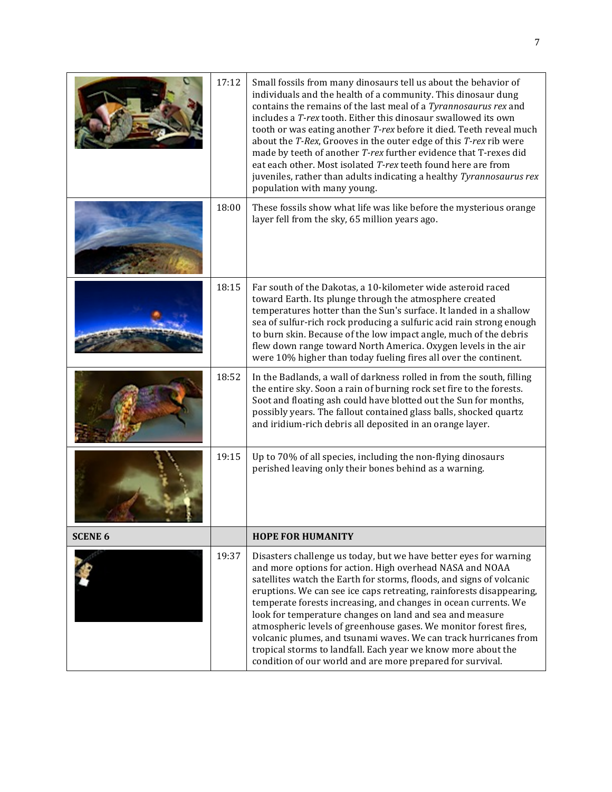|                | 17:12 | Small fossils from many dinosaurs tell us about the behavior of<br>individuals and the health of a community. This dinosaur dung<br>contains the remains of the last meal of a Tyrannosaurus rex and<br>includes a T-rex tooth. Either this dinosaur swallowed its own<br>tooth or was eating another T-rex before it died. Teeth reveal much<br>about the T-Rex, Grooves in the outer edge of this T-rex rib were<br>made by teeth of another T-rex further evidence that T-rexes did<br>eat each other. Most isolated T-rex teeth found here are from<br>juveniles, rather than adults indicating a healthy Tyrannosaurus rex<br>population with many young.                      |
|----------------|-------|-------------------------------------------------------------------------------------------------------------------------------------------------------------------------------------------------------------------------------------------------------------------------------------------------------------------------------------------------------------------------------------------------------------------------------------------------------------------------------------------------------------------------------------------------------------------------------------------------------------------------------------------------------------------------------------|
|                | 18:00 | These fossils show what life was like before the mysterious orange<br>layer fell from the sky, 65 million years ago.                                                                                                                                                                                                                                                                                                                                                                                                                                                                                                                                                                |
|                | 18:15 | Far south of the Dakotas, a 10-kilometer wide asteroid raced<br>toward Earth. Its plunge through the atmosphere created<br>temperatures hotter than the Sun's surface. It landed in a shallow<br>sea of sulfur-rich rock producing a sulfuric acid rain strong enough<br>to burn skin. Because of the low impact angle, much of the debris<br>flew down range toward North America. Oxygen levels in the air<br>were 10% higher than today fueling fires all over the continent.                                                                                                                                                                                                    |
|                | 18:52 | In the Badlands, a wall of darkness rolled in from the south, filling<br>the entire sky. Soon a rain of burning rock set fire to the forests.<br>Soot and floating ash could have blotted out the Sun for months,<br>possibly years. The fallout contained glass balls, shocked quartz<br>and iridium-rich debris all deposited in an orange layer.                                                                                                                                                                                                                                                                                                                                 |
|                | 19:15 | Up to 70% of all species, including the non-flying dinosaurs<br>perished leaving only their bones behind as a warning.                                                                                                                                                                                                                                                                                                                                                                                                                                                                                                                                                              |
| <b>SCENE 6</b> |       | <b>HOPE FOR HUMANITY</b>                                                                                                                                                                                                                                                                                                                                                                                                                                                                                                                                                                                                                                                            |
|                | 19:37 | Disasters challenge us today, but we have better eyes for warning<br>and more options for action. High overhead NASA and NOAA<br>satellites watch the Earth for storms, floods, and signs of volcanic<br>eruptions. We can see ice caps retreating, rainforests disappearing,<br>temperate forests increasing, and changes in ocean currents. We<br>look for temperature changes on land and sea and measure<br>atmospheric levels of greenhouse gases. We monitor forest fires,<br>volcanic plumes, and tsunami waves. We can track hurricanes from<br>tropical storms to landfall. Each year we know more about the<br>condition of our world and are more prepared for survival. |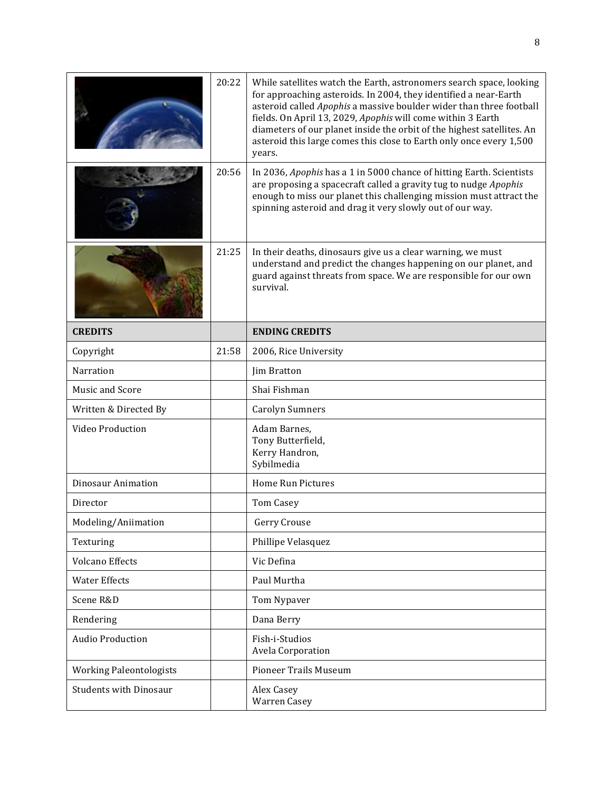|                                | 20:22 | While satellites watch the Earth, astronomers search space, looking<br>for approaching asteroids. In 2004, they identified a near-Earth<br>asteroid called Apophis a massive boulder wider than three football<br>fields. On April 13, 2029, Apophis will come within 3 Earth<br>diameters of our planet inside the orbit of the highest satellites. An<br>asteroid this large comes this close to Earth only once every 1,500<br>years. |
|--------------------------------|-------|------------------------------------------------------------------------------------------------------------------------------------------------------------------------------------------------------------------------------------------------------------------------------------------------------------------------------------------------------------------------------------------------------------------------------------------|
|                                | 20:56 | In 2036, Apophis has a 1 in 5000 chance of hitting Earth. Scientists<br>are proposing a spacecraft called a gravity tug to nudge Apophis<br>enough to miss our planet this challenging mission must attract the<br>spinning asteroid and drag it very slowly out of our way.                                                                                                                                                             |
|                                | 21:25 | In their deaths, dinosaurs give us a clear warning, we must<br>understand and predict the changes happening on our planet, and<br>guard against threats from space. We are responsible for our own<br>survival.                                                                                                                                                                                                                          |
| <b>CREDITS</b>                 |       | <b>ENDING CREDITS</b>                                                                                                                                                                                                                                                                                                                                                                                                                    |
| Copyright                      | 21:58 | 2006, Rice University                                                                                                                                                                                                                                                                                                                                                                                                                    |
| Narration                      |       | Jim Bratton                                                                                                                                                                                                                                                                                                                                                                                                                              |
| Music and Score                |       | Shai Fishman                                                                                                                                                                                                                                                                                                                                                                                                                             |
| Written & Directed By          |       | <b>Carolyn Sumners</b>                                                                                                                                                                                                                                                                                                                                                                                                                   |
| Video Production               |       | Adam Barnes,<br>Tony Butterfield,<br>Kerry Handron,<br>Sybilmedia                                                                                                                                                                                                                                                                                                                                                                        |
| <b>Dinosaur Animation</b>      |       | <b>Home Run Pictures</b>                                                                                                                                                                                                                                                                                                                                                                                                                 |
| Director                       |       | Tom Casey                                                                                                                                                                                                                                                                                                                                                                                                                                |
| Modeling/Aniimation            |       | Gerry Crouse                                                                                                                                                                                                                                                                                                                                                                                                                             |
| Texturing                      |       | Phillipe Velasquez                                                                                                                                                                                                                                                                                                                                                                                                                       |
| <b>Volcano Effects</b>         |       | Vic Defina                                                                                                                                                                                                                                                                                                                                                                                                                               |
| <b>Water Effects</b>           |       | Paul Murtha                                                                                                                                                                                                                                                                                                                                                                                                                              |
| Scene R&D                      |       | Tom Nypaver                                                                                                                                                                                                                                                                                                                                                                                                                              |
| Rendering                      |       | Dana Berry                                                                                                                                                                                                                                                                                                                                                                                                                               |
| <b>Audio Production</b>        |       | Fish-i-Studios<br>Avela Corporation                                                                                                                                                                                                                                                                                                                                                                                                      |
| <b>Working Paleontologists</b> |       | <b>Pioneer Trails Museum</b>                                                                                                                                                                                                                                                                                                                                                                                                             |
| <b>Students with Dinosaur</b>  |       | Alex Casey<br><b>Warren Casey</b>                                                                                                                                                                                                                                                                                                                                                                                                        |